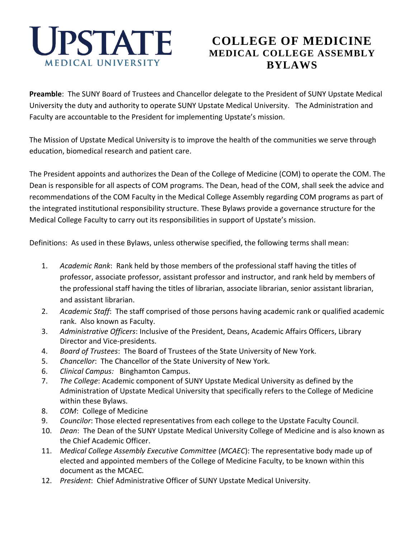

# **COLLEGE OF MEDICINE MEDICAL COLLEGE ASSEMBLY BYLAWS**

**Preamble**: The SUNY Board of Trustees and Chancellor delegate to the President of SUNY Upstate Medical University the duty and authority to operate SUNY Upstate Medical University. The Administration and Faculty are accountable to the President for implementing Upstate's mission.

The Mission of Upstate Medical University is to improve the health of the communities we serve through education, biomedical research and patient care.

The President appoints and authorizes the Dean of the College of Medicine (COM) to operate the COM. The Dean is responsible for all aspects of COM programs. The Dean, head of the COM, shall seek the advice and recommendations of the COM Faculty in the Medical College Assembly regarding COM programs as part of the integrated institutional responsibility structure. These Bylaws provide a governance structure for the Medical College Faculty to carry out its responsibilities in support of Upstate's mission.

Definitions: As used in these Bylaws, unless otherwise specified, the following terms shall mean:

- 1. *Academic Rank*: Rank held by those members of the professional staff having the titles of professor, associate professor, assistant professor and instructor, and rank held by members of the professional staff having the titles of librarian, associate librarian, senior assistant librarian, and assistant librarian.
- 2. *Academic Staff*: The staff comprised of those persons having academic rank or qualified academic rank. Also known as Faculty.
- 3. *Administrative Officers*: Inclusive of the President, Deans, Academic Affairs Officers, Library Director and Vice-presidents.
- 4. *Board of Trustees*: The Board of Trustees of the State University of New York.
- 5. *Chancellor*: The Chancellor of the State University of New York.
- 6. *Clinical Campus:* Binghamton Campus.
- 7. *The College*: Academic component of SUNY Upstate Medical University as defined by the Administration of Upstate Medical University that specifically refers to the College of Medicine within these Bylaws.
- 8. *COM*: College of Medicine
- 9. *Councilor*: Those elected representatives from each college to the Upstate Faculty Council.
- 10. *Dean*: The Dean of the SUNY Upstate Medical University College of Medicine and is also known as the Chief Academic Officer.
- 11. *Medical College Assembly Executive Committee* (*MCAEC*): The representative body made up of elected and appointed members of the College of Medicine Faculty, to be known within this document as the MCAEC.
- 12. *President*: Chief Administrative Officer of SUNY Upstate Medical University.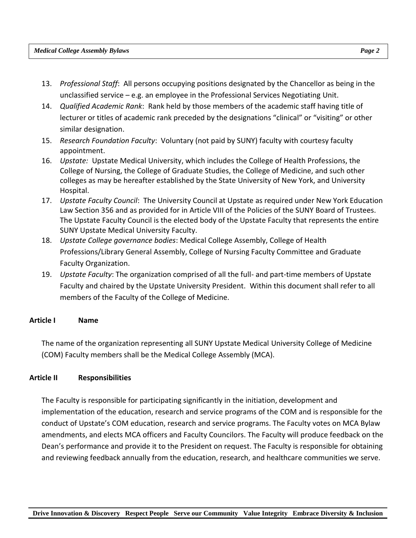- 13. *Professional Staff*: All persons occupying positions designated by the Chancellor as being in the unclassified service – e.g. an employee in the Professional Services Negotiating Unit.
- 14. *Qualified Academic Rank*: Rank held by those members of the academic staff having title of lecturer or titles of academic rank preceded by the designations "clinical" or "visiting" or other similar designation.
- 15. *Research Foundation Faculty*: Voluntary (not paid by SUNY) faculty with courtesy faculty appointment.
- 16. *Upstate:* Upstate Medical University, which includes the College of Health Professions, the College of Nursing, the College of Graduate Studies, the College of Medicine, and such other colleges as may be hereafter established by the State University of New York, and University Hospital.
- 17. *Upstate Faculty Council*: The University Council at Upstate as required under New York Education Law Section 356 and as provided for in Article VIII of the Policies of the SUNY Board of Trustees. The Upstate Faculty Council is the elected body of the Upstate Faculty that represents the entire SUNY Upstate Medical University Faculty.
- 18. *Upstate College governance bodies*: Medical College Assembly, College of Health Professions/Library General Assembly, College of Nursing Faculty Committee and Graduate Faculty Organization.
- 19. *Upstate Faculty*: The organization comprised of all the full- and part-time members of Upstate Faculty and chaired by the Upstate University President. Within this document shall refer to all members of the Faculty of the College of Medicine.

#### **Article I Name**

The name of the organization representing all SUNY Upstate Medical University College of Medicine (COM) Faculty members shall be the Medical College Assembly (MCA).

## **Article II Responsibilities**

The Faculty is responsible for participating significantly in the initiation, development and implementation of the education, research and service programs of the COM and is responsible for the conduct of Upstate's COM education, research and service programs. The Faculty votes on MCA Bylaw amendments, and elects MCA officers and Faculty Councilors. The Faculty will produce feedback on the Dean's performance and provide it to the President on request. The Faculty is responsible for obtaining and reviewing feedback annually from the education, research, and healthcare communities we serve.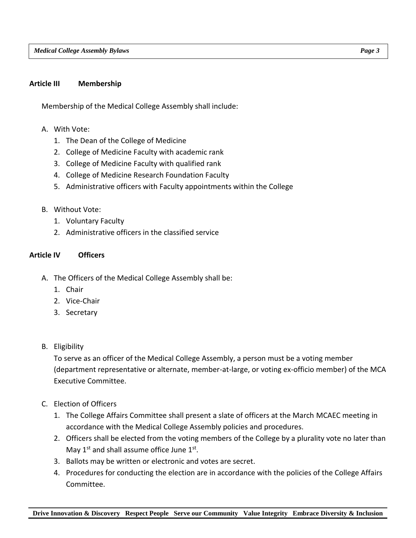#### **Article III Membership**

Membership of the Medical College Assembly shall include:

- A. With Vote:
	- 1. The Dean of the College of Medicine
	- 2. College of Medicine Faculty with academic rank
	- 3. College of Medicine Faculty with qualified rank
	- 4. College of Medicine Research Foundation Faculty
	- 5. Administrative officers with Faculty appointments within the College
- B. Without Vote:
	- 1. Voluntary Faculty
	- 2. Administrative officers in the classified service

#### **Article IV Officers**

- A. The Officers of the Medical College Assembly shall be:
	- 1. Chair
	- 2. Vice-Chair
	- 3. Secretary
- B. Eligibility

To serve as an officer of the Medical College Assembly, a person must be a voting member (department representative or alternate, member-at-large, or voting ex-officio member) of the MCA Executive Committee.

- C. Election of Officers
	- 1. The College Affairs Committee shall present a slate of officers at the March MCAEC meeting in accordance with the Medical College Assembly policies and procedures.
	- 2. Officers shall be elected from the voting members of the College by a plurality vote no later than May  $1^{st}$  and shall assume office June  $1^{st}$ .
	- 3. Ballots may be written or electronic and votes are secret.
	- 4. Procedures for conducting the election are in accordance with the policies of the College Affairs Committee.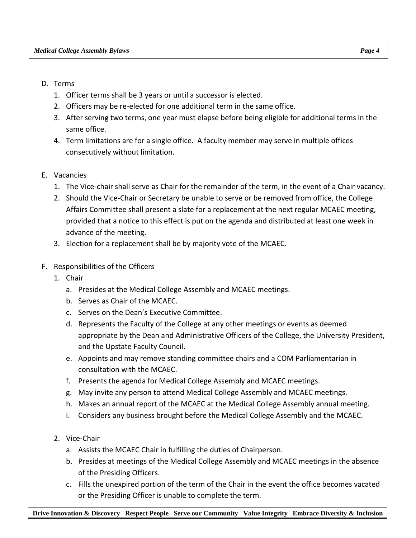- D. Terms
	- 1. Officer terms shall be 3 years or until a successor is elected.
	- 2. Officers may be re-elected for one additional term in the same office.
	- 3. After serving two terms, one year must elapse before being eligible for additional terms in the same office.
	- 4. Term limitations are for a single office. A faculty member may serve in multiple offices consecutively without limitation.
- E. Vacancies
	- 1. The Vice-chair shall serve as Chair for the remainder of the term, in the event of a Chair vacancy.
	- 2. Should the Vice-Chair or Secretary be unable to serve or be removed from office, the College Affairs Committee shall present a slate for a replacement at the next regular MCAEC meeting, provided that a notice to this effect is put on the agenda and distributed at least one week in advance of the meeting.
	- 3. Election for a replacement shall be by majority vote of the MCAEC.
- F. Responsibilities of the Officers
	- 1. Chair
		- a. Presides at the Medical College Assembly and MCAEC meetings.
		- b. Serves as Chair of the MCAEC.
		- c. Serves on the Dean's Executive Committee.
		- d. Represents the Faculty of the College at any other meetings or events as deemed appropriate by the Dean and Administrative Officers of the College, the University President, and the Upstate Faculty Council.
		- e. Appoints and may remove standing committee chairs and a COM Parliamentarian in consultation with the MCAEC.
		- f. Presents the agenda for Medical College Assembly and MCAEC meetings.
		- g. May invite any person to attend Medical College Assembly and MCAEC meetings.
		- h. Makes an annual report of the MCAEC at the Medical College Assembly annual meeting.
		- i. Considers any business brought before the Medical College Assembly and the MCAEC.
	- 2. Vice-Chair
		- a. Assists the MCAEC Chair in fulfilling the duties of Chairperson.
		- b. Presides at meetings of the Medical College Assembly and MCAEC meetings in the absence of the Presiding Officers.
		- c. Fills the unexpired portion of the term of the Chair in the event the office becomes vacated or the Presiding Officer is unable to complete the term.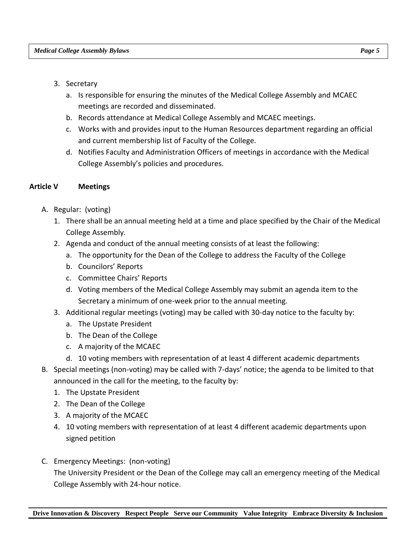- 3. Secretary
	- a. Is responsible for ensuring the minutes of the Medical College Assembly and MCAEC meetings are recorded and disseminated.
	- b. Records attendance at Medical College Assembly and MCAEC meetings.
	- c. Works with and provides input to the Human Resources department regarding an official and current membership list of Faculty of the College.
	- d. Notifies Faculty and Administration Officers of meetings in accordance with the Medical College Assembly's policies and procedures.

#### **Article V Meetings**

- A. Regular: (voting)
	- 1. There shall be an annual meeting held at a time and place specified by the Chair of the Medical College Assembly.
	- 2. Agenda and conduct of the annual meeting consists of at least the following:
		- a. The opportunity for the Dean of the College to address the Faculty of the College
		- b. Councilors' Reports
		- c. Committee Chairs' Reports
		- d. Voting members of the Medical College Assembly may submit an agenda item to the Secretary a minimum of one-week prior to the annual meeting.
	- 3. Additional regular meetings (voting) may be called with 30-day notice to the faculty by:
		- a. The Upstate President
		- b. The Dean of the College
		- c. A majority of the MCAEC
		- d. 10 voting members with representation of at least 4 different academic departments
- B. Special meetings (non-voting) may be called with 7-days' notice; the agenda to be limited to that announced in the call for the meeting, to the faculty by:
	- 1. The Upstate President
	- 2. The Dean of the College
	- 3. A majority of the MCAEC
	- 4. 10 voting members with representation of at least 4 different academic departments upon signed petition
- C. Emergency Meetings: (non-voting) The University President or the Dean of the College may call an emergency meeting of the Medical College Assembly with 24-hour notice.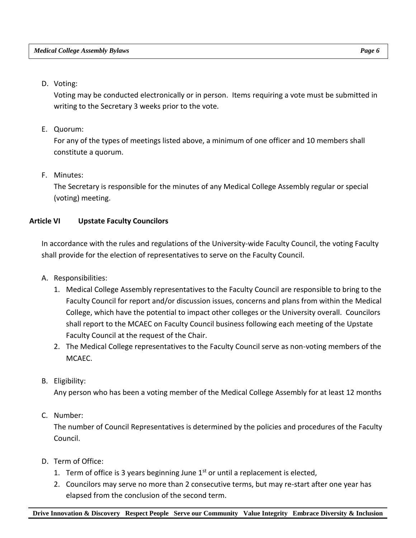#### D. Voting:

Voting may be conducted electronically or in person. Items requiring a vote must be submitted in writing to the Secretary 3 weeks prior to the vote.

E. Quorum:

For any of the types of meetings listed above, a minimum of one officer and 10 members shall constitute a quorum.

## F. Minutes:

The Secretary is responsible for the minutes of any Medical College Assembly regular or special (voting) meeting.

## **Article VI Upstate Faculty Councilors**

In accordance with the rules and regulations of the University-wide Faculty Council, the voting Faculty shall provide for the election of representatives to serve on the Faculty Council.

- A. Responsibilities:
	- 1. Medical College Assembly representatives to the Faculty Council are responsible to bring to the Faculty Council for report and/or discussion issues, concerns and plans from within the Medical College, which have the potential to impact other colleges or the University overall. Councilors shall report to the MCAEC on Faculty Council business following each meeting of the Upstate Faculty Council at the request of the Chair.
	- 2. The Medical College representatives to the Faculty Council serve as non-voting members of the MCAEC.
- B. Eligibility:

Any person who has been a voting member of the Medical College Assembly for at least 12 months

## C. Number:

The number of Council Representatives is determined by the policies and procedures of the Faculty Council.

- D. Term of Office:
	- 1. Term of office is 3 years beginning June  $1<sup>st</sup>$  or until a replacement is elected,
	- 2. Councilors may serve no more than 2 consecutive terms, but may re-start after one year has elapsed from the conclusion of the second term.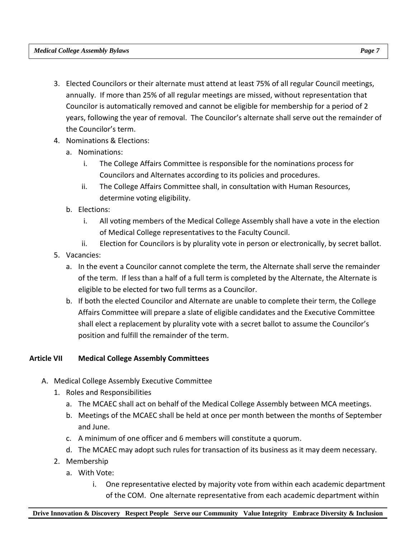- 3. Elected Councilors or their alternate must attend at least 75% of all regular Council meetings, annually. If more than 25% of all regular meetings are missed, without representation that Councilor is automatically removed and cannot be eligible for membership for a period of 2 years, following the year of removal. The Councilor's alternate shall serve out the remainder of the Councilor's term.
- 4. Nominations & Elections:
	- a. Nominations:
		- i. The College Affairs Committee is responsible for the nominations process for Councilors and Alternates according to its policies and procedures.
		- ii. The College Affairs Committee shall, in consultation with Human Resources, determine voting eligibility.
	- b. Elections:
		- i. All voting members of the Medical College Assembly shall have a vote in the election of Medical College representatives to the Faculty Council.
		- ii. Election for Councilors is by plurality vote in person or electronically, by secret ballot.
- 5. Vacancies:
	- a. In the event a Councilor cannot complete the term, the Alternate shall serve the remainder of the term. If less than a half of a full term is completed by the Alternate, the Alternate is eligible to be elected for two full terms as a Councilor.
	- b. If both the elected Councilor and Alternate are unable to complete their term, the College Affairs Committee will prepare a slate of eligible candidates and the Executive Committee shall elect a replacement by plurality vote with a secret ballot to assume the Councilor's position and fulfill the remainder of the term.

## **Article VII Medical College Assembly Committees**

- A. Medical College Assembly Executive Committee
	- 1. Roles and Responsibilities
		- a. The MCAEC shall act on behalf of the Medical College Assembly between MCA meetings.
		- b. Meetings of the MCAEC shall be held at once per month between the months of September and June.
		- c. A minimum of one officer and 6 members will constitute a quorum.
		- d. The MCAEC may adopt such rules for transaction of its business as it may deem necessary.
	- 2. Membership
		- a. With Vote:
			- i. One representative elected by majority vote from within each academic department of the COM. One alternate representative from each academic department within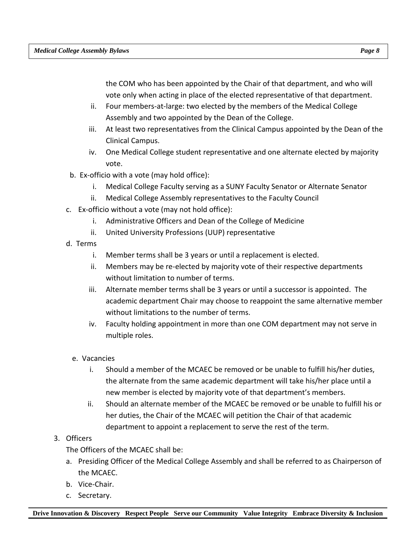the COM who has been appointed by the Chair of that department, and who will vote only when acting in place of the elected representative of that department.

- ii. Four members-at-large: two elected by the members of the Medical College Assembly and two appointed by the Dean of the College.
- iii. At least two representatives from the Clinical Campus appointed by the Dean of the Clinical Campus.
- iv. One Medical College student representative and one alternate elected by majority vote.
- b. Ex-officio with a vote (may hold office):
	- i. Medical College Faculty serving as a SUNY Faculty Senator or Alternate Senator
	- ii. Medical College Assembly representatives to the Faculty Council
- c. Ex-officio without a vote (may not hold office):
	- i. Administrative Officers and Dean of the College of Medicine
	- ii. United University Professions (UUP) representative
- d. Terms
	- i. Member terms shall be 3 years or until a replacement is elected.
	- ii. Members may be re-elected by majority vote of their respective departments without limitation to number of terms.
	- iii. Alternate member terms shall be 3 years or until a successor is appointed. The academic department Chair may choose to reappoint the same alternative member without limitations to the number of terms.
	- iv. Faculty holding appointment in more than one COM department may not serve in multiple roles.
	- e. Vacancies
		- i. Should a member of the MCAEC be removed or be unable to fulfill his/her duties, the alternate from the same academic department will take his/her place until a new member is elected by majority vote of that department's members.
		- ii. Should an alternate member of the MCAEC be removed or be unable to fulfill his or her duties, the Chair of the MCAEC will petition the Chair of that academic department to appoint a replacement to serve the rest of the term.

## 3. Officers

The Officers of the MCAEC shall be:

- a. Presiding Officer of the Medical College Assembly and shall be referred to as Chairperson of the MCAEC.
- b. Vice-Chair.
- c. Secretary.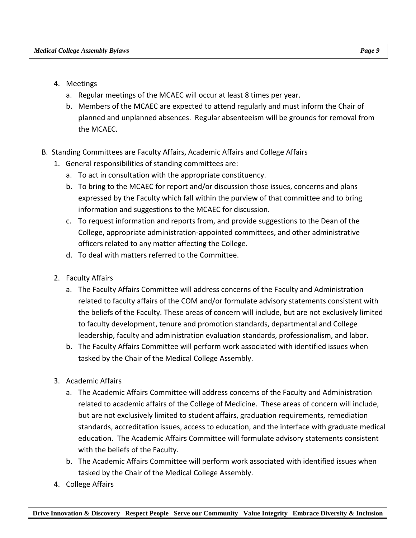- 4. Meetings
	- a. Regular meetings of the MCAEC will occur at least 8 times per year.
	- b. Members of the MCAEC are expected to attend regularly and must inform the Chair of planned and unplanned absences. Regular absenteeism will be grounds for removal from the MCAEC.
- B. Standing Committees are Faculty Affairs, Academic Affairs and College Affairs
	- 1. General responsibilities of standing committees are:
		- a. To act in consultation with the appropriate constituency.
		- b. To bring to the MCAEC for report and/or discussion those issues, concerns and plans expressed by the Faculty which fall within the purview of that committee and to bring information and suggestions to the MCAEC for discussion.
		- c. To request information and reports from, and provide suggestions to the Dean of the College, appropriate administration-appointed committees, and other administrative officers related to any matter affecting the College.
		- d. To deal with matters referred to the Committee.
	- 2. Faculty Affairs
		- a. The Faculty Affairs Committee will address concerns of the Faculty and Administration related to faculty affairs of the COM and/or formulate advisory statements consistent with the beliefs of the Faculty. These areas of concern will include, but are not exclusively limited to faculty development, tenure and promotion standards, departmental and College leadership, faculty and administration evaluation standards, professionalism, and labor.
		- b. The Faculty Affairs Committee will perform work associated with identified issues when tasked by the Chair of the Medical College Assembly.
	- 3. Academic Affairs
		- a. The Academic Affairs Committee will address concerns of the Faculty and Administration related to academic affairs of the College of Medicine. These areas of concern will include, but are not exclusively limited to student affairs, graduation requirements, remediation standards, accreditation issues, access to education, and the interface with graduate medical education. The Academic Affairs Committee will formulate advisory statements consistent with the beliefs of the Faculty.
		- b. The Academic Affairs Committee will perform work associated with identified issues when tasked by the Chair of the Medical College Assembly.
	- 4. College Affairs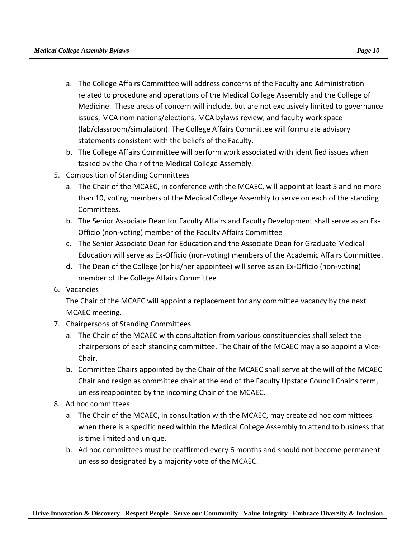- a. The College Affairs Committee will address concerns of the Faculty and Administration related to procedure and operations of the Medical College Assembly and the College of Medicine. These areas of concern will include, but are not exclusively limited to governance issues, MCA nominations/elections, MCA bylaws review, and faculty work space (lab/classroom/simulation). The College Affairs Committee will formulate advisory statements consistent with the beliefs of the Faculty.
- b. The College Affairs Committee will perform work associated with identified issues when tasked by the Chair of the Medical College Assembly.
- 5. Composition of Standing Committees
	- a. The Chair of the MCAEC, in conference with the MCAEC, will appoint at least 5 and no more than 10, voting members of the Medical College Assembly to serve on each of the standing Committees.
	- b. The Senior Associate Dean for Faculty Affairs and Faculty Development shall serve as an Ex-Officio (non-voting) member of the Faculty Affairs Committee
	- c. The Senior Associate Dean for Education and the Associate Dean for Graduate Medical Education will serve as Ex-Officio (non-voting) members of the Academic Affairs Committee.
	- d. The Dean of the College (or his/her appointee) will serve as an Ex-Officio (non-voting) member of the College Affairs Committee
- 6. Vacancies

The Chair of the MCAEC will appoint a replacement for any committee vacancy by the next MCAEC meeting.

- 7. Chairpersons of Standing Committees
	- a. The Chair of the MCAEC with consultation from various constituencies shall select the chairpersons of each standing committee. The Chair of the MCAEC may also appoint a Vice-Chair.
	- b. Committee Chairs appointed by the Chair of the MCAEC shall serve at the will of the MCAEC Chair and resign as committee chair at the end of the Faculty Upstate Council Chair's term, unless reappointed by the incoming Chair of the MCAEC.
- 8. Ad hoc committees
	- a. The Chair of the MCAEC, in consultation with the MCAEC, may create ad hoc committees when there is a specific need within the Medical College Assembly to attend to business that is time limited and unique.
	- b. Ad hoc committees must be reaffirmed every 6 months and should not become permanent unless so designated by a majority vote of the MCAEC.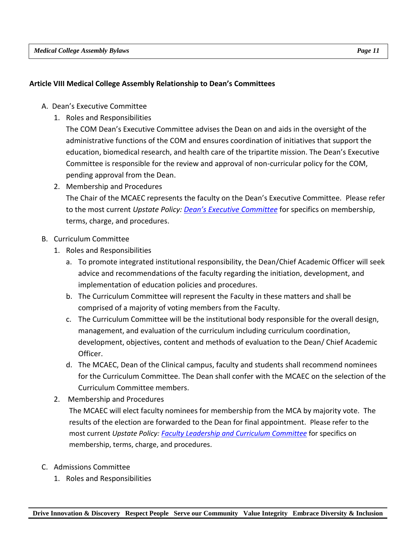#### **Article VIII Medical College Assembly Relationship to Dean's Committees**

- A. Dean's Executive Committee
	- 1. Roles and Responsibilities

The COM Dean's Executive Committee advises the Dean on and aids in the oversight of the administrative functions of the COM and ensures coordination of initiatives that support the education, biomedical research, and health care of the tripartite mission. The Dean's Executive Committee is responsible for the review and approval of non-curricular policy for the COM, pending approval from the Dean.

- 2. Membership and Procedures The Chair of the MCAEC represents the faculty on the Dean's Executive Committee. Please refer to the most current *Upstate Policy: [Dean's Executive Committee](https://upstate.ellucid.com/documents/view/10226/?security=40b709000a7e3261034dcf8fd555bfc26a042221)* for specifics on membership, terms, charge, and procedures.
- B. Curriculum Committee
	- 1. Roles and Responsibilities
		- a. To promote integrated institutional responsibility, the Dean/Chief Academic Officer will seek advice and recommendations of the faculty regarding the initiation, development, and implementation of education policies and procedures.
		- b. The Curriculum Committee will represent the Faculty in these matters and shall be comprised of a majority of voting members from the Faculty.
		- c. The Curriculum Committee will be the institutional body responsible for the overall design, management, and evaluation of the curriculum including curriculum coordination, development, objectives, content and methods of evaluation to the Dean/ Chief Academic Officer.
		- d. The MCAEC, Dean of the Clinical campus, faculty and students shall recommend nominees for the Curriculum Committee. The Dean shall confer with the MCAEC on the selection of the Curriculum Committee members.
	- 2. Membership and Procedures

The MCAEC will elect faculty nominees for membership from the MCA by majority vote. The results of the election are forwarded to the Dean for final appointment. Please refer to the most current *Upstate Policy: [Faculty Leadership and Curriculum Committee](https://upstate.ellucid.com/documents/view/10228/?security=020a928a00c02a4e56c89b65550a1b54973581a8)* for specifics on membership, terms, charge, and procedures.

- C. Admissions Committee
	- 1. Roles and Responsibilities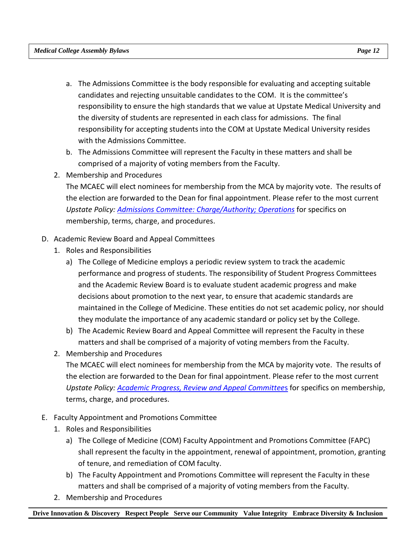- a. The Admissions Committee is the body responsible for evaluating and accepting suitable candidates and rejecting unsuitable candidates to the COM. It is the committee's responsibility to ensure the high standards that we value at Upstate Medical University and the diversity of students are represented in each class for admissions. The final responsibility for accepting students into the COM at Upstate Medical University resides with the Admissions Committee.
- b. The Admissions Committee will represent the Faculty in these matters and shall be comprised of a majority of voting members from the Faculty.
- 2. Membership and Procedures

The MCAEC will elect nominees for membership from the MCA by majority vote. The results of the election are forwarded to the Dean for final appointment. Please refer to the most current *Upstate Policy: Admissions [Committee: Charge/Authority; Operations](https://upstate.ellucid.com/documents/view/10223/?security=c931b407a5edace6272bfdf242fc80f070514877)* for specifics on membership, terms, charge, and procedures.

## D. Academic Review Board and Appeal Committees

- 1. Roles and Responsibilities
	- a) The College of Medicine employs a periodic review system to track the academic performance and progress of students. The responsibility of Student Progress Committees and the Academic Review Board is to evaluate student academic progress and make decisions about promotion to the next year, to ensure that academic standards are maintained in the College of Medicine. These entities do not set academic policy, nor should they modulate the importance of any academic standard or policy set by the College.
	- b) The Academic Review Board and Appeal Committee will represent the Faculty in these matters and shall be comprised of a majority of voting members from the Faculty.
- 2. Membership and Procedures

The MCAEC will elect nominees for membership from the MCA by majority vote. The results of the election are forwarded to the Dean for final appointment. Please refer to the most current *Upstate Policy: [Academic Progress, Review and Appeal Committee](https://upstate.ellucid.com/documents/view/10243/?security=5d6a4081fbba0f4ad668d820f00ef8bab9e2f981)*s for specifics on membership, terms, charge, and procedures.

- E. Faculty Appointment and Promotions Committee
	- 1. Roles and Responsibilities
		- a) The College of Medicine (COM) Faculty Appointment and Promotions Committee (FAPC) shall represent the faculty in the appointment, renewal of appointment, promotion, granting of tenure, and remediation of COM faculty.
		- b) The Faculty Appointment and Promotions Committee will represent the Faculty in these matters and shall be comprised of a majority of voting members from the Faculty.
	- 2. Membership and Procedures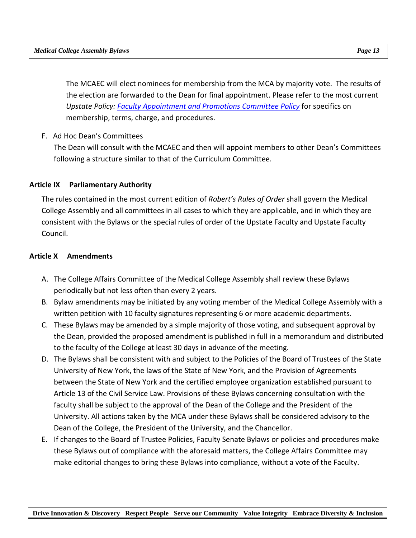The MCAEC will elect nominees for membership from the MCA by majority vote. The results of the election are forwarded to the Dean for final appointment. Please refer to the most current *Upstate Policy: [Faculty Appointment and Promotions Committee Policy](https://upstate.ellucid.com/documents/view/10236/?security=711b110065bf2ab837a403e268b0be8fff9ab2fb)* for specifics on membership, terms, charge, and procedures.

F. Ad Hoc Dean's Committees

The Dean will consult with the MCAEC and then will appoint members to other Dean's Committees following a structure similar to that of the Curriculum Committee.

## **Article IX Parliamentary Authority**

The rules contained in the most current edition of *Robert's Rules of Order* shall govern the Medical College Assembly and all committees in all cases to which they are applicable, and in which they are consistent with the Bylaws or the special rules of order of the Upstate Faculty and Upstate Faculty Council.

## **Article X Amendments**

- A. The College Affairs Committee of the Medical College Assembly shall review these Bylaws periodically but not less often than every 2 years.
- B. Bylaw amendments may be initiated by any voting member of the Medical College Assembly with a written petition with 10 faculty signatures representing 6 or more academic departments.
- C. These Bylaws may be amended by a simple majority of those voting, and subsequent approval by the Dean, provided the proposed amendment is published in full in a memorandum and distributed to the faculty of the College at least 30 days in advance of the meeting.
- D. The Bylaws shall be consistent with and subject to the Policies of the Board of Trustees of the State University of New York, the laws of the State of New York, and the Provision of Agreements between the State of New York and the certified employee organization established pursuant to Article 13 of the Civil Service Law. Provisions of these Bylaws concerning consultation with the faculty shall be subject to the approval of the Dean of the College and the President of the University. All actions taken by the MCA under these Bylaws shall be considered advisory to the Dean of the College, the President of the University, and the Chancellor.
- E. If changes to the Board of Trustee Policies, Faculty Senate Bylaws or policies and procedures make these Bylaws out of compliance with the aforesaid matters, the College Affairs Committee may make editorial changes to bring these Bylaws into compliance, without a vote of the Faculty.